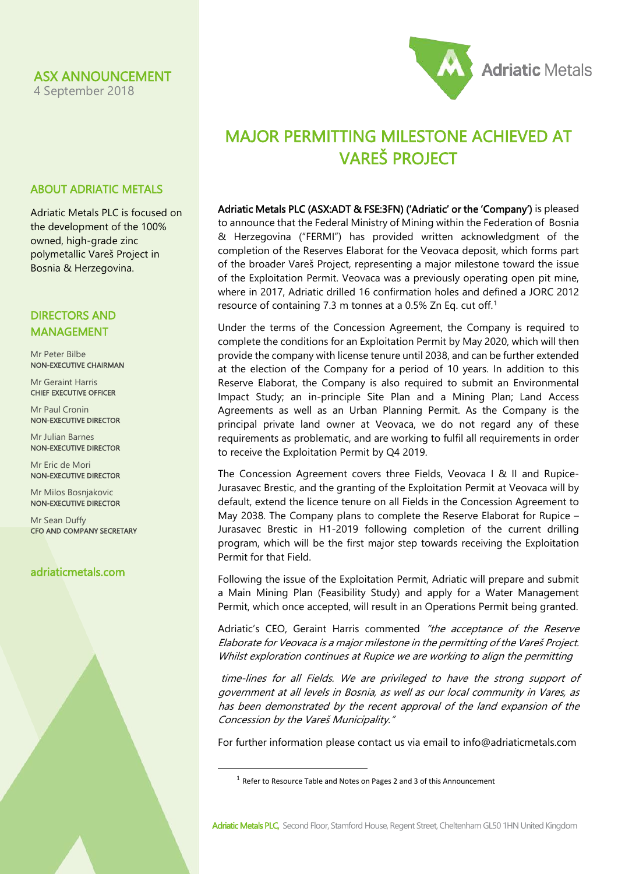## ASX ANNOUNCEMENT

ABOUT ADRIATIC METALS

Adriatic Metals PLC is focused on the development of the 100% owned, high-grade zinc polymetallic Vareš Project in Bosnia & Herzegovina.

4 September 2018



# MAJOR PERMITTING MILESTONE ACHIEVED AT VAREŠ PROJECT

Adriatic Metals PLC (ASX:ADT & FSE:3FN) ('Adriatic' or the 'Company') is pleased to announce that the Federal Ministry of Mining within the Federation of Bosnia & Herzegovina ("FERMI") has provided written acknowledgment of the completion of the Reserves Elaborat for the Veovaca deposit, which forms part of the broader Vareš Project, representing a major milestone toward the issue of the Exploitation Permit. Veovaca was a previously operating open pit mine, where in 2017, Adriatic drilled 16 confirmation holes and defined a JORC 2012 resource of containing 7.3 m tonnes at a 0.5% Zn Eq. cut off. [1](#page-0-0)

Under the terms of the Concession Agreement, the Company is required to complete the conditions for an Exploitation Permit by May 2020, which will then provide the company with license tenure until 2038, and can be further extended at the election of the Company for a period of 10 years. In addition to this Reserve Elaborat, the Company is also required to submit an Environmental Impact Study; an in-principle Site Plan and a Mining Plan; Land Access Agreements as well as an Urban Planning Permit. As the Company is the principal private land owner at Veovaca, we do not regard any of these requirements as problematic, and are working to fulfil all requirements in order to receive the Exploitation Permit by Q4 2019.

The Concession Agreement covers three Fields, Veovaca I & II and Rupice-Jurasavec Brestic, and the granting of the Exploitation Permit at Veovaca will by default, extend the licence tenure on all Fields in the Concession Agreement to May 2038. The Company plans to complete the Reserve Elaborat for Rupice – Jurasavec Brestic in H1-2019 following completion of the current drilling program, which will be the first major step towards receiving the Exploitation Permit for that Field.

Following the issue of the Exploitation Permit, Adriatic will prepare and submit a Main Mining Plan (Feasibility Study) and apply for a Water Management Permit, which once accepted, will result in an Operations Permit being granted.

Adriatic's CEO, Geraint Harris commented "the acceptance of the Reserve Elaborate for Veovaca is a major milestone in the permitting of the Vareš Project. Whilst exploration continues at Rupice we are working to align the permitting

time-lines for all Fields. We are privileged to have the strong support of government at all levels in Bosnia, as well as our local community in Vares, as has been demonstrated by the recent approval of the land expansion of the Concession by the Vareš Municipality."

For further information please contact us via email to [info@adriaticmetals.com](mailto:info@adriaticmetals.com)

DIRECTORS AND

Mr Peter Bilbe NON-EXECUTIVE CHAIRMAN

Mr Geraint Harris CHIEF EXECUTIVE OFFICER

MANAGEMENT

Mr Paul Cronin NON-EXECUTIVE DIRECTOR

Mr Julian Barnes NON-EXECUTIVE DIRECTOR

Mr Eric de Mori NON-EXECUTIVE DIRECTOR

Mr Milos Bosnjakovic NON-EXECUTIVE DIRECTOR

Mr Sean Duffy CFO AND COMPANY SECRETARY

# <span id="page-0-0"></span>adriaticmetals.com

 <sup>1</sup> Refer to Resource Table and Notes on Pages 2 and 3 of this Announcement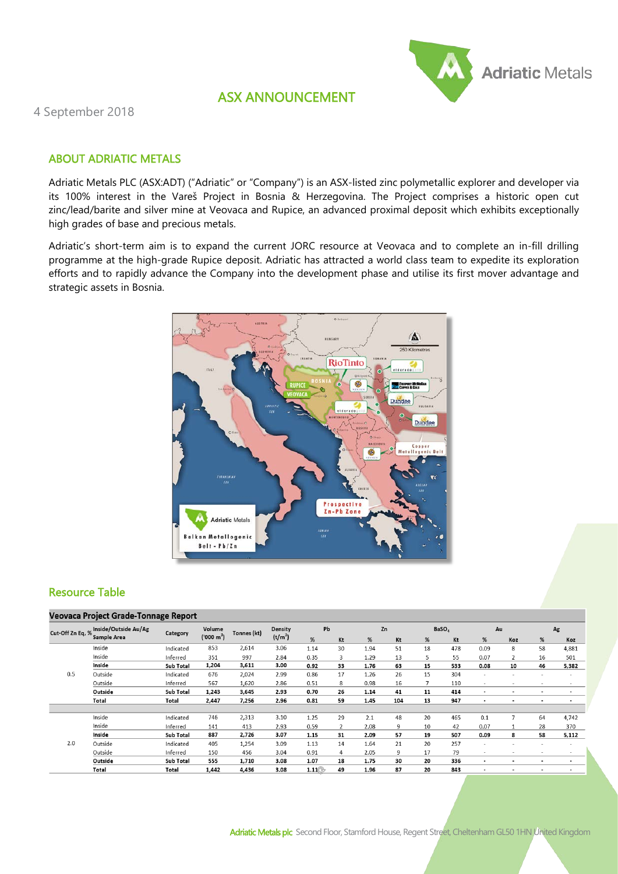

# ASX ANNOUNCEMENT

4 September 2018

## ABOUT ADRIATIC METALS

Adriatic Metals PLC (ASX:ADT) ("Adriatic" or "Company") is an ASX-listed zinc polymetallic explorer and developer via its 100% interest in the Vareš Project in Bosnia & Herzegovina. The Project comprises a historic open cut zinc/lead/barite and silver mine at Veovaca and Rupice, an advanced proximal deposit which exhibits exceptionally high grades of base and precious metals.

Adriatic's short-term aim is to expand the current JORC resource at Veovaca and to complete an in-fill drilling programme at the high-grade Rupice deposit. Adriatic has attracted a world class team to expedite its exploration efforts and to rapidly advance the Company into the development phase and utilise its first mover advantage and strategic assets in Bosnia.



## Resource Table

## **Veovaca Project Grade-Tonnage Report**

| Cut-Off Zn Eq, % | Inside/Outside Au/Ag<br>Sample Area | Category  | Volume<br>('000 m <sup>3</sup> ) | Tonnes (kt) | Density<br>$(t/m^3)$ | Pb   |    | Zn   |     | BaSO <sub>4</sub> |     | Au                       |                          | Ag                       |                |
|------------------|-------------------------------------|-----------|----------------------------------|-------------|----------------------|------|----|------|-----|-------------------|-----|--------------------------|--------------------------|--------------------------|----------------|
|                  |                                     |           |                                  |             |                      | %    | Kt | %    | Kt  | %                 | Kt  | %                        | Koz                      | %                        | Koz            |
| 0.5              | Inside                              | Indicated | 853                              | 2,614       | 3.06                 | 1.14 | 30 | 1.94 | 51  | 18                | 478 | 0.09                     | 8                        | 58                       | 4,881          |
|                  | Inside                              | Inferred  | 351                              | 997         | 2.84                 | 0.35 | 3  | 1.29 | 13  | 5                 | 55  | 0.07                     | 2                        | 16                       | 501            |
|                  | Inside                              | Sub Total | 1,204                            | 3,611       | 3.00                 | 0.92 | 33 | 1.76 | 63  | 15                | 533 | 0.08                     | 10                       | 46                       | 5,382          |
|                  | Outside                             | Indicated | 676                              | 2,024       | 2.99                 | 0.86 | 17 | 1.26 | 26  | 15                | 304 | $\overline{\phantom{a}}$ |                          |                          |                |
|                  | Outside                             | Inferred  | 567                              | 1,620       | 2.86                 | 0.51 | 8  | 0.98 | 16  | $\overline{7}$    | 110 | $\sim$                   | $\overline{\phantom{a}}$ | $\overline{\phantom{a}}$ | ٠              |
|                  | Outside                             | Sub Total | 1,243                            | 3,645       | 2.93                 | 0.70 | 26 | 1.14 | 41  | 11                | 414 | $\blacksquare$           | $\blacksquare$           | $\blacksquare$           |                |
|                  | Total                               | Total     | 2,447                            | 7,256       | 2.96                 | 0.81 | 59 | 1.45 | 104 | 13                | 947 | $\blacksquare$           | $\blacksquare$           | ٠                        |                |
|                  |                                     |           |                                  |             |                      |      |    |      |     |                   |     |                          |                          |                          |                |
| 2.0              | Inside                              | Indicated | 746                              | 2,313       | 3.10                 | 1.25 | 29 | 2.1  | 48  | 20                | 465 | 0.1                      | $\overline{7}$           | 64                       | 4,742          |
|                  | Inside                              | Inferred  | 141                              | 413         | 2.93                 | 0.59 | 2  | 2.08 | 9   | 10                | 42  | 0.07                     | 1                        | 28                       | 370            |
|                  | Inside                              | Sub Total | 887                              | 2,726       | 3.07                 | 1.15 | 31 | 2.09 | 57  | 19                | 507 | 0.09                     | 8                        | 58                       | 5,112          |
|                  | Outside                             | Indicated | 405                              | 1,254       | 3.09                 | 1.13 | 14 | 1.64 | 21  | 20                | 257 | $\overline{\phantom{a}}$ | $\overline{\phantom{a}}$ | ۰                        |                |
|                  | Outside                             | Inferred  | 150                              | 456         | 3.04                 | 0.91 | 4  | 2.05 | 9   | 17                | 79  | $\overline{\phantom{a}}$ |                          | -                        | -              |
|                  | Outside                             | Sub Total | 555                              | 1,710       | 3.08                 | 1.07 | 18 | 1.75 | 30  | 20                | 336 | $\blacksquare$           | $\overline{\phantom{a}}$ | $\overline{\phantom{0}}$ | $\blacksquare$ |
|                  | Total                               | Total     | 1,442                            | 4,436       | 3.08                 | 1.11 | 49 | 1.96 | 87  | 20                | 843 | $\blacksquare$           |                          |                          | $\blacksquare$ |